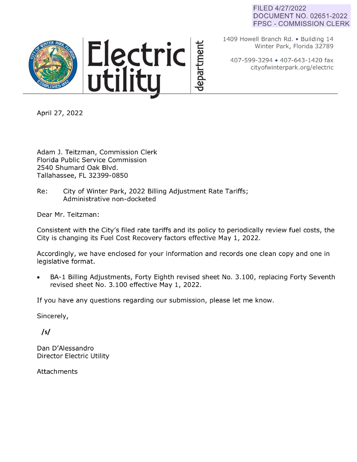### FILED 4/27/2022 DOCUMENT NO. 02651-2022 FPSC - COMMISSION CLERK





1409 Howell Branch Rd. • Building 14 Winter Park, Florida 32789

407-599-3294 • 407-643-1420 fax cityofwinterpark.org/electric

April 27, 2022

Adam J. Teitzman, Commission Clerk Florida Public Service Commission 2540 Shumard Oak Blvd. Tallahassee, FL 32399-0850

Re: City of Winter Park, 2022 Billing Adjustment Rate Tariffs; Administrative non-docketed

Dear Mr. Teitzman:

Consistent with the City's filed rate tariffs and its policy to periodically review fuel costs, the City is changing its Fuel Cost Recovery factors effective May 1, 2022.

epartment

Accordingly, we have enclosed for your information and records one clean copy and one in legislative format.

BA-1 Billing Adjustments, Forty Eighth revised sheet No. 3.100, replacing Forty Seventh revised sheet No. 3.100 effective May 1, 2022.

If you have any questions regarding our submission, please let me know.

Sincerely,

*/sf* 

Dan D'Alessandro Director Electric Utility

Attachments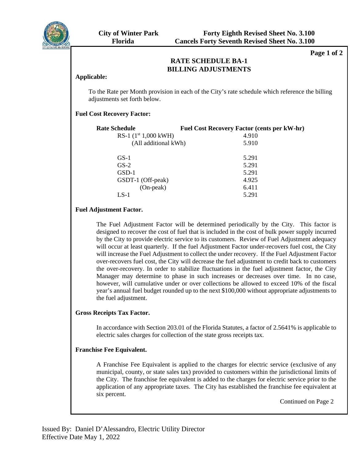

**Page 1 of 2** 

#### **RATE SCHEDULE DATE RESIDENTIAL SERVICE SERVICE SERVICE SERVICE SERVICE SERVICE SERVICE SERVICE SERVICE SERVICE SERVICE SERVICE S RATE SCHEDULE BA-1**

### **Applicable:**

To the Rate per Month provision in each of the City's rate schedule which reference the billing adjustments set forth below.

## **Fuel Cost Recovery Factor:**

| <b>Rate Schedule</b>   |  | <b>Fuel Cost Recovery Factor (cents per kW-hr)</b> |  |
|------------------------|--|----------------------------------------------------|--|
| RS-1 $(1st 1,000$ kWH) |  | 4.910                                              |  |
| (All additional kWh)   |  | 5.910                                              |  |
| $GS-1$                 |  | 5.291                                              |  |
| $GS-2$                 |  | 5.291                                              |  |
| $GSD-1$                |  | 5.291                                              |  |
| GSDT-1 (Off-peak)      |  | 4.925                                              |  |
| (On-peak)              |  | 6.411                                              |  |
| LS-1                   |  | 5.291                                              |  |
|                        |  |                                                    |  |

## **Fuel Adjustment Factor.**

The Fuel Adjustment Factor will be determined periodically by the City. This factor is designed to recover the cost of fuel that is included in the cost of bulk power supply incurred by the City to provide electric service to its customers. Review of Fuel Adjustment adequacy will occur at least quarterly. If the fuel Adjustment Factor under-recovers fuel cost, the City will increase the Fuel Adjustment to collect the under recovery. If the Fuel Adjustment Factor over-recovers fuel cost, the City will decrease the fuel adjustment to credit back to customers the over-recovery. In order to stabilize fluctuations in the fuel adjustment factor, the City Manager may determine to phase in such increases or decreases over time. In no case, however, will cumulative under or over collections be allowed to exceed 10% of the fiscal year's annual fuel budget rounded up to the next \$100,000 without appropriate adjustments to the fuel adjustment.

### **Gross Receipts Tax Factor.**

In accordance with Section 203.01 of the Florida Statutes, a factor of 2.5641% is applicable to electric sales charges for collection of the state gross receipts tax.

### **Franchise Fee Equivalent.**

A Franchise Fee Equivalent is applied to the charges for electric service (exclusive of any municipal, county, or state sales tax) provided to customers within the jurisdictional limits of the City. The franchise fee equivalent is added to the charges for electric service prior to the application of any appropriate taxes. The City has established the franchise fee equivalent at six percent.

Continued on Page 2